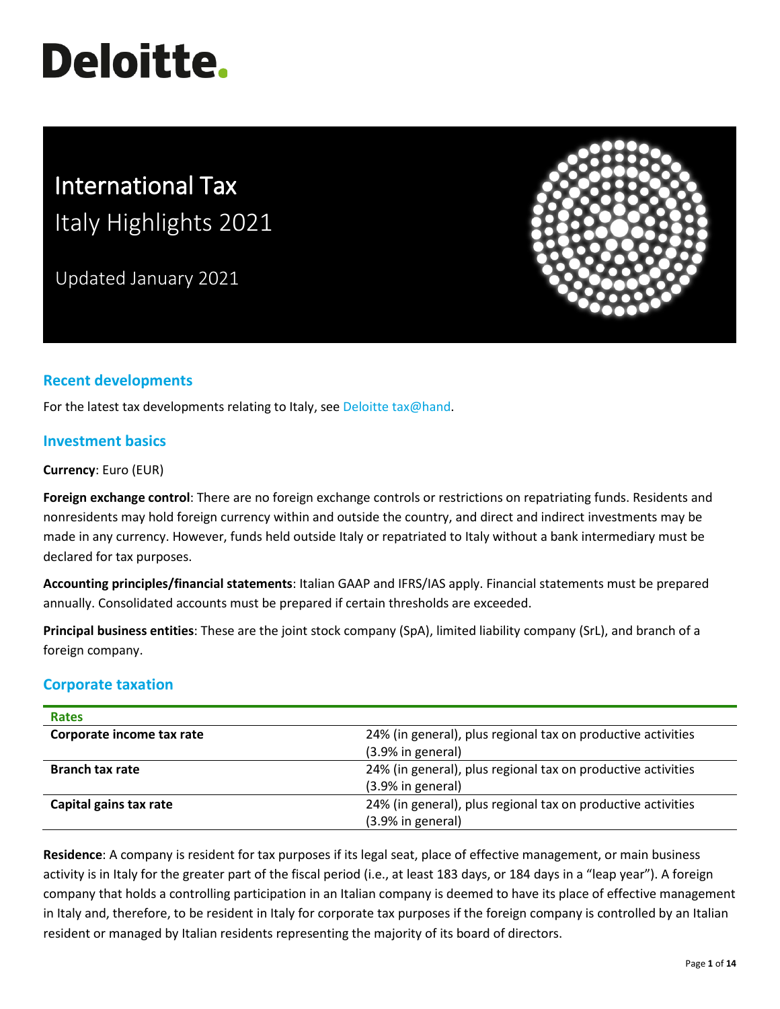# **Deloitte.**

# International Tax Italy Highlights 2021

Updated January 2021



# **Recent developments**

For the latest tax developments relating to Italy, see [Deloitte tax@hand.](https://www.taxathand.com/world-news/Italy)

# **Investment basics**

**Currency**: Euro (EUR)

**Foreign exchange control**: There are no foreign exchange controls or restrictions on repatriating funds. Residents and nonresidents may hold foreign currency within and outside the country, and direct and indirect investments may be made in any currency. However, funds held outside Italy or repatriated to Italy without a bank intermediary must be declared for tax purposes.

**Accounting principles/financial statements**: Italian GAAP and IFRS/IAS apply. Financial statements must be prepared annually. Consolidated accounts must be prepared if certain thresholds are exceeded.

**Principal business entities**: These are the joint stock company (SpA), limited liability company (SrL), and branch of a foreign company.

## **Corporate taxation**

| <b>Rates</b>              |                                                              |
|---------------------------|--------------------------------------------------------------|
| Corporate income tax rate | 24% (in general), plus regional tax on productive activities |
|                           | $(3.9%$ in general)                                          |
| <b>Branch tax rate</b>    | 24% (in general), plus regional tax on productive activities |
|                           | (3.9% in general)                                            |
| Capital gains tax rate    | 24% (in general), plus regional tax on productive activities |
|                           | (3.9% in general)                                            |

**Residence**: A company is resident for tax purposes if its legal seat, place of effective management, or main business activity is in Italy for the greater part of the fiscal period (i.e., at least 183 days, or 184 days in a "leap year"). A foreign company that holds a controlling participation in an Italian company is deemed to have its place of effective management in Italy and, therefore, to be resident in Italy for corporate tax purposes if the foreign company is controlled by an Italian resident or managed by Italian residents representing the majority of its board of directors.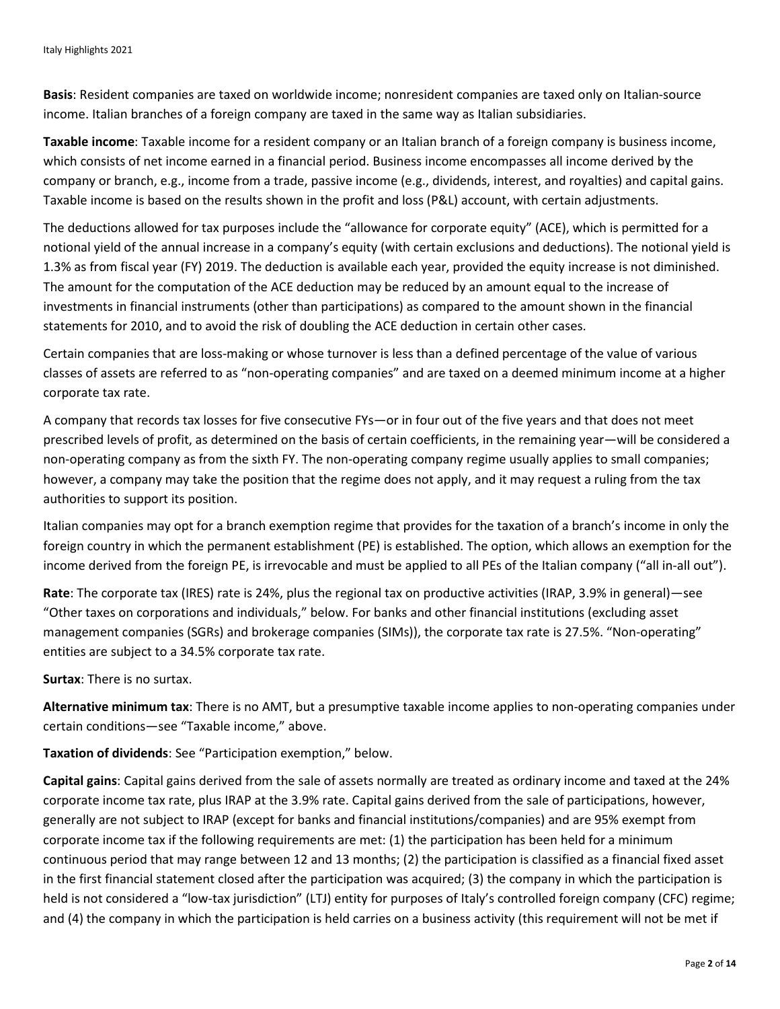**Basis**: Resident companies are taxed on worldwide income; nonresident companies are taxed only on Italian-source income. Italian branches of a foreign company are taxed in the same way as Italian subsidiaries.

**Taxable income**: Taxable income for a resident company or an Italian branch of a foreign company is business income, which consists of net income earned in a financial period. Business income encompasses all income derived by the company or branch, e.g., income from a trade, passive income (e.g., dividends, interest, and royalties) and capital gains. Taxable income is based on the results shown in the profit and loss (P&L) account, with certain adjustments.

The deductions allowed for tax purposes include the "allowance for corporate equity" (ACE), which is permitted for a notional yield of the annual increase in a company's equity (with certain exclusions and deductions). The notional yield is 1.3% as from fiscal year (FY) 2019. The deduction is available each year, provided the equity increase is not diminished. The amount for the computation of the ACE deduction may be reduced by an amount equal to the increase of investments in financial instruments (other than participations) as compared to the amount shown in the financial statements for 2010, and to avoid the risk of doubling the ACE deduction in certain other cases.

Certain companies that are loss-making or whose turnover is less than a defined percentage of the value of various classes of assets are referred to as "non-operating companies" and are taxed on a deemed minimum income at a higher corporate tax rate.

A company that records tax losses for five consecutive FYs—or in four out of the five years and that does not meet prescribed levels of profit, as determined on the basis of certain coefficients, in the remaining year—will be considered a non-operating company as from the sixth FY. The non-operating company regime usually applies to small companies; however, a company may take the position that the regime does not apply, and it may request a ruling from the tax authorities to support its position.

Italian companies may opt for a branch exemption regime that provides for the taxation of a branch's income in only the foreign country in which the permanent establishment (PE) is established. The option, which allows an exemption for the income derived from the foreign PE, is irrevocable and must be applied to all PEs of the Italian company ("all in-all out").

**Rate**: The corporate tax (IRES) rate is 24%, plus the regional tax on productive activities (IRAP, 3.9% in general)—see "Other taxes on corporations and individuals," below. For banks and other financial institutions (excluding asset management companies (SGRs) and brokerage companies (SIMs)), the corporate tax rate is 27.5%. "Non-operating" entities are subject to a 34.5% corporate tax rate.

**Surtax**: There is no surtax.

**Alternative minimum tax**: There is no AMT, but a presumptive taxable income applies to non-operating companies under certain conditions—see "Taxable income," above.

**Taxation of dividends**: See "Participation exemption," below.

**Capital gains**: Capital gains derived from the sale of assets normally are treated as ordinary income and taxed at the 24% corporate income tax rate, plus IRAP at the 3.9% rate. Capital gains derived from the sale of participations, however, generally are not subject to IRAP (except for banks and financial institutions/companies) and are 95% exempt from corporate income tax if the following requirements are met: (1) the participation has been held for a minimum continuous period that may range between 12 and 13 months; (2) the participation is classified as a financial fixed asset in the first financial statement closed after the participation was acquired; (3) the company in which the participation is held is not considered a "low-tax jurisdiction" (LTJ) entity for purposes of Italy's controlled foreign company (CFC) regime; and (4) the company in which the participation is held carries on a business activity (this requirement will not be met if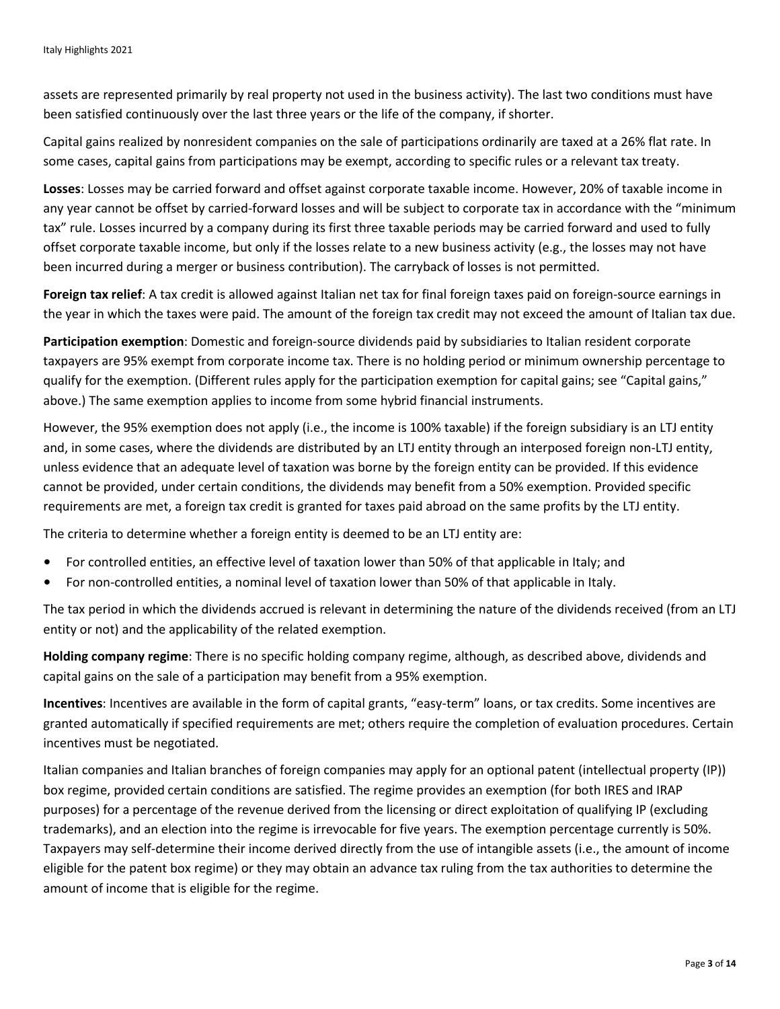assets are represented primarily by real property not used in the business activity). The last two conditions must have been satisfied continuously over the last three years or the life of the company, if shorter.

Capital gains realized by nonresident companies on the sale of participations ordinarily are taxed at a 26% flat rate. In some cases, capital gains from participations may be exempt, according to specific rules or a relevant tax treaty.

**Losses**: Losses may be carried forward and offset against corporate taxable income. However, 20% of taxable income in any year cannot be offset by carried-forward losses and will be subject to corporate tax in accordance with the "minimum tax" rule. Losses incurred by a company during its first three taxable periods may be carried forward and used to fully offset corporate taxable income, but only if the losses relate to a new business activity (e.g., the losses may not have been incurred during a merger or business contribution). The carryback of losses is not permitted.

**Foreign tax relief**: A tax credit is allowed against Italian net tax for final foreign taxes paid on foreign-source earnings in the year in which the taxes were paid. The amount of the foreign tax credit may not exceed the amount of Italian tax due.

**Participation exemption**: Domestic and foreign-source dividends paid by subsidiaries to Italian resident corporate taxpayers are 95% exempt from corporate income tax. There is no holding period or minimum ownership percentage to qualify for the exemption. (Different rules apply for the participation exemption for capital gains; see "Capital gains," above.) The same exemption applies to income from some hybrid financial instruments.

However, the 95% exemption does not apply (i.e., the income is 100% taxable) if the foreign subsidiary is an LTJ entity and, in some cases, where the dividends are distributed by an LTJ entity through an interposed foreign non-LTJ entity, unless evidence that an adequate level of taxation was borne by the foreign entity can be provided. If this evidence cannot be provided, under certain conditions, the dividends may benefit from a 50% exemption. Provided specific requirements are met, a foreign tax credit is granted for taxes paid abroad on the same profits by the LTJ entity.

The criteria to determine whether a foreign entity is deemed to be an LTJ entity are:

- For controlled entities, an effective level of taxation lower than 50% of that applicable in Italy; and
- For non-controlled entities, a nominal level of taxation lower than 50% of that applicable in Italy.

The tax period in which the dividends accrued is relevant in determining the nature of the dividends received (from an LTJ entity or not) and the applicability of the related exemption.

**Holding company regime**: There is no specific holding company regime, although, as described above, dividends and capital gains on the sale of a participation may benefit from a 95% exemption.

**Incentives**: Incentives are available in the form of capital grants, "easy-term" loans, or tax credits. Some incentives are granted automatically if specified requirements are met; others require the completion of evaluation procedures. Certain incentives must be negotiated.

Italian companies and Italian branches of foreign companies may apply for an optional patent (intellectual property (IP)) box regime, provided certain conditions are satisfied. The regime provides an exemption (for both IRES and IRAP purposes) for a percentage of the revenue derived from the licensing or direct exploitation of qualifying IP (excluding trademarks), and an election into the regime is irrevocable for five years. The exemption percentage currently is 50%. Taxpayers may self-determine their income derived directly from the use of intangible assets (i.e., the amount of income eligible for the patent box regime) or they may obtain an advance tax ruling from the tax authorities to determine the amount of income that is eligible for the regime.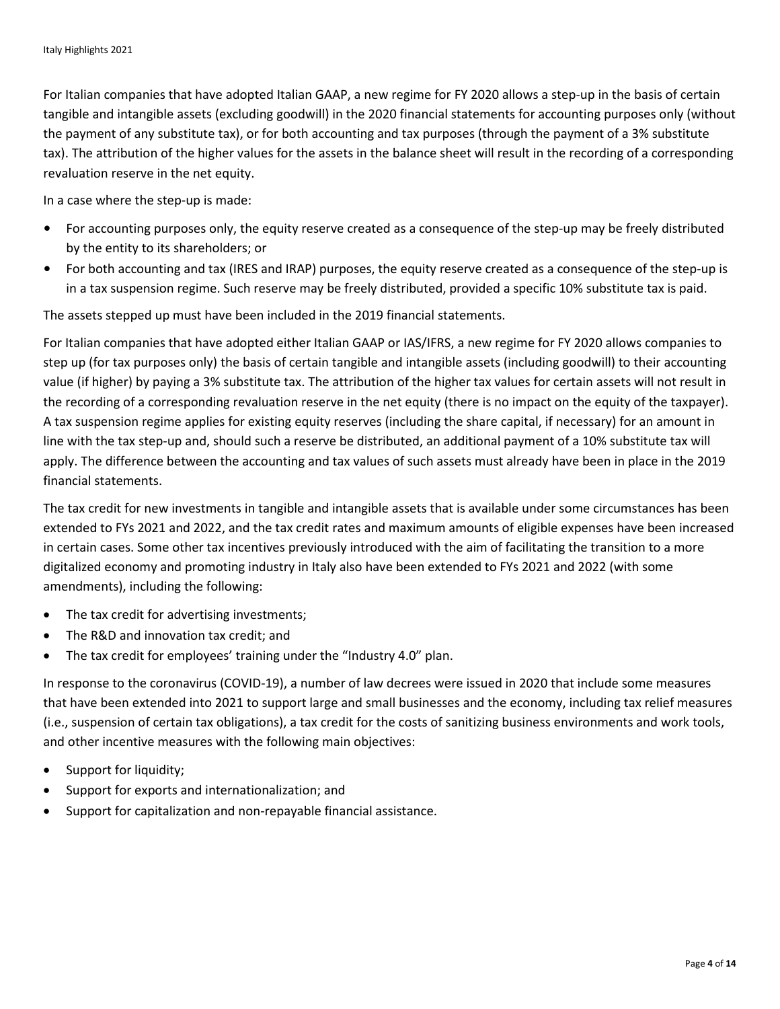For Italian companies that have adopted Italian GAAP, a new regime for FY 2020 allows a step-up in the basis of certain tangible and intangible assets (excluding goodwill) in the 2020 financial statements for accounting purposes only (without the payment of any substitute tax), or for both accounting and tax purposes (through the payment of a 3% substitute tax). The attribution of the higher values for the assets in the balance sheet will result in the recording of a corresponding revaluation reserve in the net equity.

In a case where the step-up is made:

- For accounting purposes only, the equity reserve created as a consequence of the step-up may be freely distributed by the entity to its shareholders; or
- For both accounting and tax (IRES and IRAP) purposes, the equity reserve created as a consequence of the step-up is in a tax suspension regime. Such reserve may be freely distributed, provided a specific 10% substitute tax is paid.

The assets stepped up must have been included in the 2019 financial statements.

For Italian companies that have adopted either Italian GAAP or IAS/IFRS, a new regime for FY 2020 allows companies to step up (for tax purposes only) the basis of certain tangible and intangible assets (including goodwill) to their accounting value (if higher) by paying a 3% substitute tax. The attribution of the higher tax values for certain assets will not result in the recording of a corresponding revaluation reserve in the net equity (there is no impact on the equity of the taxpayer). A tax suspension regime applies for existing equity reserves (including the share capital, if necessary) for an amount in line with the tax step-up and, should such a reserve be distributed, an additional payment of a 10% substitute tax will apply. The difference between the accounting and tax values of such assets must already have been in place in the 2019 financial statements.

The tax credit for new investments in tangible and intangible assets that is available under some circumstances has been extended to FYs 2021 and 2022, and the tax credit rates and maximum amounts of eligible expenses have been increased in certain cases. Some other tax incentives previously introduced with the aim of facilitating the transition to a more digitalized economy and promoting industry in Italy also have been extended to FYs 2021 and 2022 (with some amendments), including the following:

- The tax credit for advertising investments;
- The R&D and innovation tax credit; and
- The tax credit for employees' training under the "Industry 4.0" plan.

In response to the coronavirus (COVID-19), a number of law decrees were issued in 2020 that include some measures that have been extended into 2021 to support large and small businesses and the economy, including tax relief measures (i.e., suspension of certain tax obligations), a tax credit for the costs of sanitizing business environments and work tools, and other incentive measures with the following main objectives:

- Support for liquidity;
- Support for exports and internationalization; and
- Support for capitalization and non-repayable financial assistance.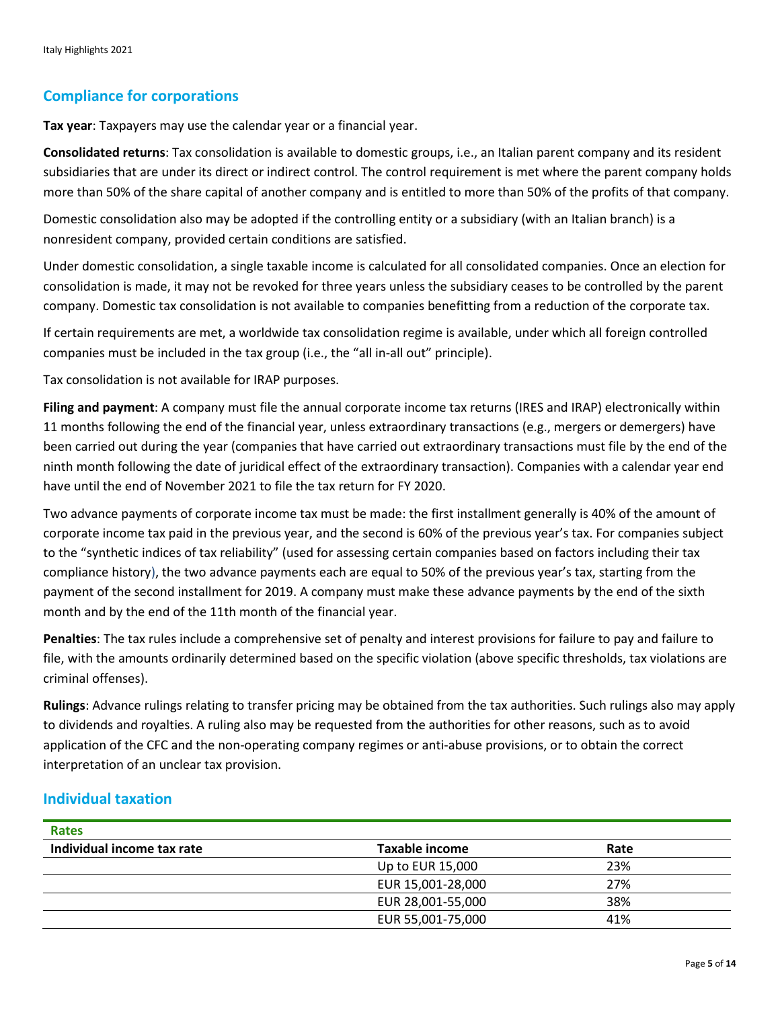# **Compliance for corporations**

**Tax year**: Taxpayers may use the calendar year or a financial year.

**Consolidated returns**: Tax consolidation is available to domestic groups, i.e., an Italian parent company and its resident subsidiaries that are under its direct or indirect control. The control requirement is met where the parent company holds more than 50% of the share capital of another company and is entitled to more than 50% of the profits of that company.

Domestic consolidation also may be adopted if the controlling entity or a subsidiary (with an Italian branch) is a nonresident company, provided certain conditions are satisfied.

Under domestic consolidation, a single taxable income is calculated for all consolidated companies. Once an election for consolidation is made, it may not be revoked for three years unless the subsidiary ceases to be controlled by the parent company. Domestic tax consolidation is not available to companies benefitting from a reduction of the corporate tax.

If certain requirements are met, a worldwide tax consolidation regime is available, under which all foreign controlled companies must be included in the tax group (i.e., the "all in-all out" principle).

Tax consolidation is not available for IRAP purposes.

**Filing and payment**: A company must file the annual corporate income tax returns (IRES and IRAP) electronically within 11 months following the end of the financial year, unless extraordinary transactions (e.g., mergers or demergers) have been carried out during the year (companies that have carried out extraordinary transactions must file by the end of the ninth month following the date of juridical effect of the extraordinary transaction). Companies with a calendar year end have until the end of November 2021 to file the tax return for FY 2020.

Two advance payments of corporate income tax must be made: the first installment generally is 40% of the amount of corporate income tax paid in the previous year, and the second is 60% of the previous year's tax. For companies subject to the "synthetic indices of tax reliability" (used for assessing certain companies based on factors including their tax compliance history), the two advance payments each are equal to 50% of the previous year's tax, starting from the payment of the second installment for 2019. A company must make these advance payments by the end of the sixth month and by the end of the 11th month of the financial year.

**Penalties**: The tax rules include a comprehensive set of penalty and interest provisions for failure to pay and failure to file, with the amounts ordinarily determined based on the specific violation (above specific thresholds, tax violations are criminal offenses).

**Rulings**: Advance rulings relating to transfer pricing may be obtained from the tax authorities. Such rulings also may apply to dividends and royalties. A ruling also may be requested from the authorities for other reasons, such as to avoid application of the CFC and the non-operating company regimes or anti-abuse provisions, or to obtain the correct interpretation of an unclear tax provision.

## **Individual taxation**

| <b>Rates</b>               |                       |      |
|----------------------------|-----------------------|------|
| Individual income tax rate | <b>Taxable income</b> | Rate |
|                            | Up to EUR 15,000      | 23%  |
|                            | EUR 15,001-28,000     | 27%  |
|                            | EUR 28,001-55,000     | 38%  |
|                            | EUR 55,001-75,000     | 41%  |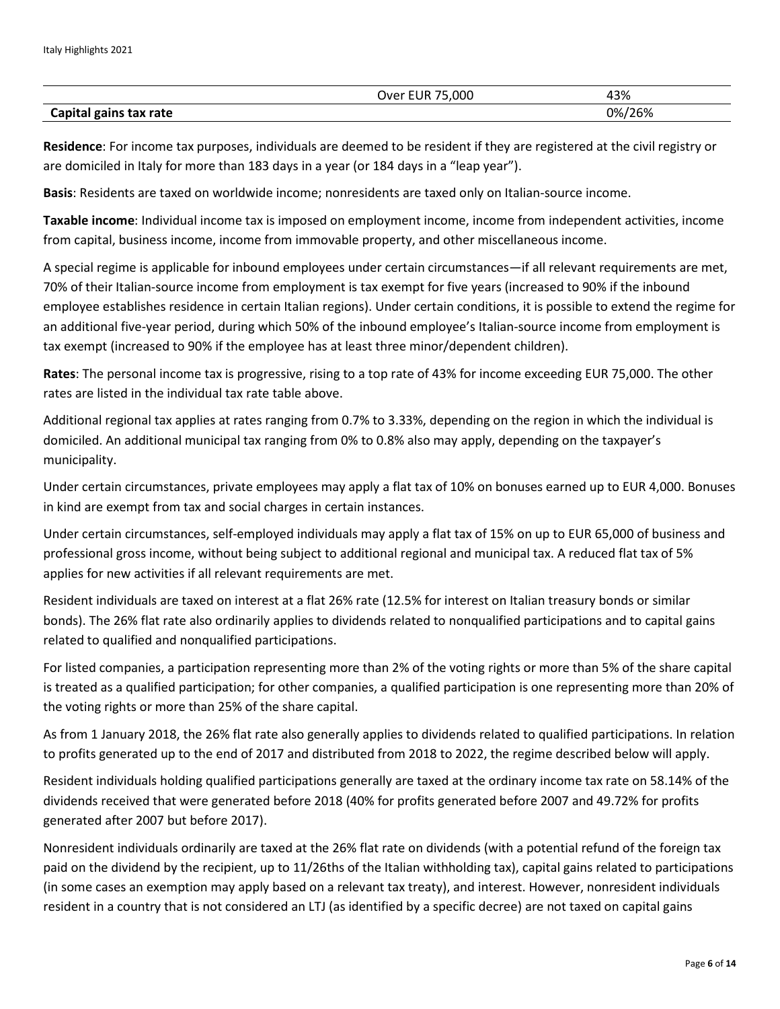|                        | .000<br>'I IR<br>Jver | 43%         |
|------------------------|-----------------------|-------------|
| Capital gains tax rate |                       | /26%<br>0%/ |

**Residence**: For income tax purposes, individuals are deemed to be resident if they are registered at the civil registry or are domiciled in Italy for more than 183 days in a year (or 184 days in a "leap year").

**Basis**: Residents are taxed on worldwide income; nonresidents are taxed only on Italian-source income.

**Taxable income**: Individual income tax is imposed on employment income, income from independent activities, income from capital, business income, income from immovable property, and other miscellaneous income.

A special regime is applicable for inbound employees under certain circumstances—if all relevant requirements are met, 70% of their Italian-source income from employment is tax exempt for five years (increased to 90% if the inbound employee establishes residence in certain Italian regions). Under certain conditions, it is possible to extend the regime for an additional five-year period, during which 50% of the inbound employee's Italian-source income from employment is tax exempt (increased to 90% if the employee has at least three minor/dependent children).

**Rates**: The personal income tax is progressive, rising to a top rate of 43% for income exceeding EUR 75,000. The other rates are listed in the individual tax rate table above.

Additional regional tax applies at rates ranging from 0.7% to 3.33%, depending on the region in which the individual is domiciled. An additional municipal tax ranging from 0% to 0.8% also may apply, depending on the taxpayer's municipality.

Under certain circumstances, private employees may apply a flat tax of 10% on bonuses earned up to EUR 4,000. Bonuses in kind are exempt from tax and social charges in certain instances.

Under certain circumstances, self-employed individuals may apply a flat tax of 15% on up to EUR 65,000 of business and professional gross income, without being subject to additional regional and municipal tax. A reduced flat tax of 5% applies for new activities if all relevant requirements are met.

Resident individuals are taxed on interest at a flat 26% rate (12.5% for interest on Italian treasury bonds or similar bonds). The 26% flat rate also ordinarily applies to dividends related to nonqualified participations and to capital gains related to qualified and nonqualified participations.

For listed companies, a participation representing more than 2% of the voting rights or more than 5% of the share capital is treated as a qualified participation; for other companies, a qualified participation is one representing more than 20% of the voting rights or more than 25% of the share capital.

As from 1 January 2018, the 26% flat rate also generally applies to dividends related to qualified participations. In relation to profits generated up to the end of 2017 and distributed from 2018 to 2022, the regime described below will apply.

Resident individuals holding qualified participations generally are taxed at the ordinary income tax rate on 58.14% of the dividends received that were generated before 2018 (40% for profits generated before 2007 and 49.72% for profits generated after 2007 but before 2017).

Nonresident individuals ordinarily are taxed at the 26% flat rate on dividends (with a potential refund of the foreign tax paid on the dividend by the recipient, up to 11/26ths of the Italian withholding tax), capital gains related to participations (in some cases an exemption may apply based on a relevant tax treaty), and interest. However, nonresident individuals resident in a country that is not considered an LTJ (as identified by a specific decree) are not taxed on capital gains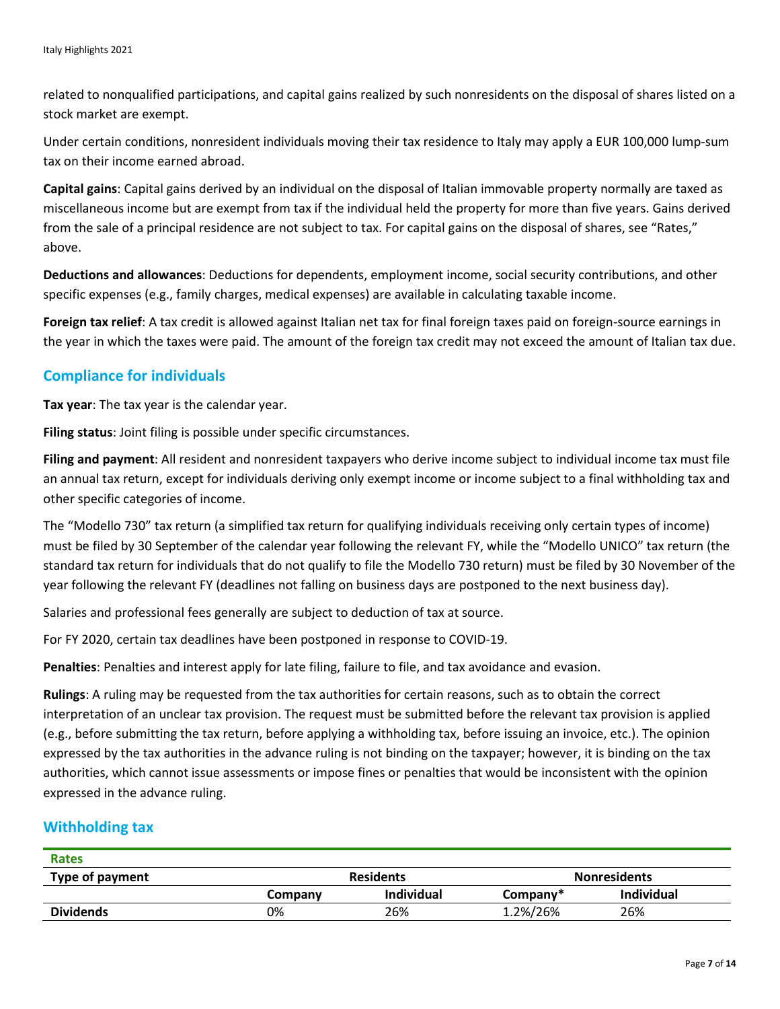related to nonqualified participations, and capital gains realized by such nonresidents on the disposal of shares listed on a stock market are exempt.

Under certain conditions, nonresident individuals moving their tax residence to Italy may apply a EUR 100,000 lump-sum tax on their income earned abroad.

**Capital gains**: Capital gains derived by an individual on the disposal of Italian immovable property normally are taxed as miscellaneous income but are exempt from tax if the individual held the property for more than five years. Gains derived from the sale of a principal residence are not subject to tax. For capital gains on the disposal of shares, see "Rates," above.

**Deductions and allowances**: Deductions for dependents, employment income, social security contributions, and other specific expenses (e.g., family charges, medical expenses) are available in calculating taxable income.

**Foreign tax relief**: A tax credit is allowed against Italian net tax for final foreign taxes paid on foreign-source earnings in the year in which the taxes were paid. The amount of the foreign tax credit may not exceed the amount of Italian tax due.

## **Compliance for individuals**

**Tax year**: The tax year is the calendar year.

**Filing status**: Joint filing is possible under specific circumstances.

**Filing and payment**: All resident and nonresident taxpayers who derive income subject to individual income tax must file an annual tax return, except for individuals deriving only exempt income or income subject to a final withholding tax and other specific categories of income.

The "Modello 730" tax return (a simplified tax return for qualifying individuals receiving only certain types of income) must be filed by 30 September of the calendar year following the relevant FY, while the "Modello UNICO" tax return (the standard tax return for individuals that do not qualify to file the Modello 730 return) must be filed by 30 November of the year following the relevant FY (deadlines not falling on business days are postponed to the next business day).

Salaries and professional fees generally are subject to deduction of tax at source.

For FY 2020, certain tax deadlines have been postponed in response to COVID-19.

**Penalties**: Penalties and interest apply for late filing, failure to file, and tax avoidance and evasion.

**Rulings**: A ruling may be requested from the tax authorities for certain reasons, such as to obtain the correct interpretation of an unclear tax provision. The request must be submitted before the relevant tax provision is applied (e.g., before submitting the tax return, before applying a withholding tax, before issuing an invoice, etc.). The opinion expressed by the tax authorities in the advance ruling is not binding on the taxpayer; however, it is binding on the tax authorities, which cannot issue assessments or impose fines or penalties that would be inconsistent with the opinion expressed in the advance ruling.

## **Withholding tax**

| Rates            |                  |            |                     |            |
|------------------|------------------|------------|---------------------|------------|
| Type of payment  | <b>Residents</b> |            | <b>Nonresidents</b> |            |
|                  | Company          | Individual | Company*            | Individual |
| <b>Dividends</b> | 0%               | 26%        | 1.2%/26%            | 26%        |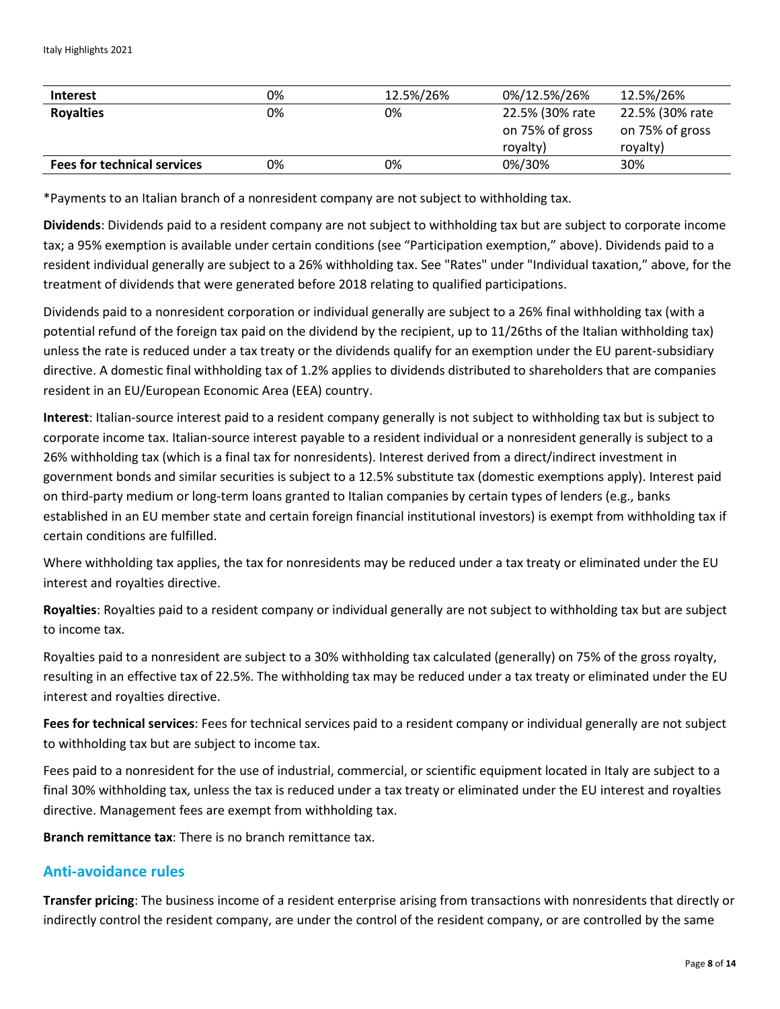| <b>Interest</b>                    | 0% | 12.5%/26% | 0%/12.5%/26%                                   | 12.5%/26%                                      |
|------------------------------------|----|-----------|------------------------------------------------|------------------------------------------------|
| <b>Royalties</b>                   | 0% | 0%        | 22.5% (30% rate<br>on 75% of gross<br>royalty) | 22.5% (30% rate<br>on 75% of gross<br>royalty) |
| <b>Fees for technical services</b> | 0% | 0%        | 0%/30%                                         | 30%                                            |

\*Payments to an Italian branch of a nonresident company are not subject to withholding tax.

**Dividends**: Dividends paid to a resident company are not subject to withholding tax but are subject to corporate income tax; a 95% exemption is available under certain conditions (see "Participation exemption," above). Dividends paid to a resident individual generally are subject to a 26% withholding tax. See "Rates" under "Individual taxation," above, for the treatment of dividends that were generated before 2018 relating to qualified participations.

Dividends paid to a nonresident corporation or individual generally are subject to a 26% final withholding tax (with a potential refund of the foreign tax paid on the dividend by the recipient, up to 11/26ths of the Italian withholding tax) unless the rate is reduced under a tax treaty or the dividends qualify for an exemption under the EU parent-subsidiary directive. A domestic final withholding tax of 1.2% applies to dividends distributed to shareholders that are companies resident in an EU/European Economic Area (EEA) country.

**Interest**: Italian-source interest paid to a resident company generally is not subject to withholding tax but is subject to corporate income tax. Italian-source interest payable to a resident individual or a nonresident generally is subject to a 26% withholding tax (which is a final tax for nonresidents). Interest derived from a direct/indirect investment in government bonds and similar securities is subject to a 12.5% substitute tax (domestic exemptions apply). Interest paid on third-party medium or long-term loans granted to Italian companies by certain types of lenders (e.g., banks established in an EU member state and certain foreign financial institutional investors) is exempt from withholding tax if certain conditions are fulfilled.

Where withholding tax applies, the tax for nonresidents may be reduced under a tax treaty or eliminated under the EU interest and royalties directive.

**Royalties**: Royalties paid to a resident company or individual generally are not subject to withholding tax but are subject to income tax.

Royalties paid to a nonresident are subject to a 30% withholding tax calculated (generally) on 75% of the gross royalty, resulting in an effective tax of 22.5%. The withholding tax may be reduced under a tax treaty or eliminated under the EU interest and royalties directive.

**Fees for technical services**: Fees for technical services paid to a resident company or individual generally are not subject to withholding tax but are subject to income tax.

Fees paid to a nonresident for the use of industrial, commercial, or scientific equipment located in Italy are subject to a final 30% withholding tax, unless the tax is reduced under a tax treaty or eliminated under the EU interest and royalties directive. Management fees are exempt from withholding tax.

**Branch remittance tax**: There is no branch remittance tax.

## **Anti-avoidance rules**

**Transfer pricing**: The business income of a resident enterprise arising from transactions with nonresidents that directly or indirectly control the resident company, are under the control of the resident company, or are controlled by the same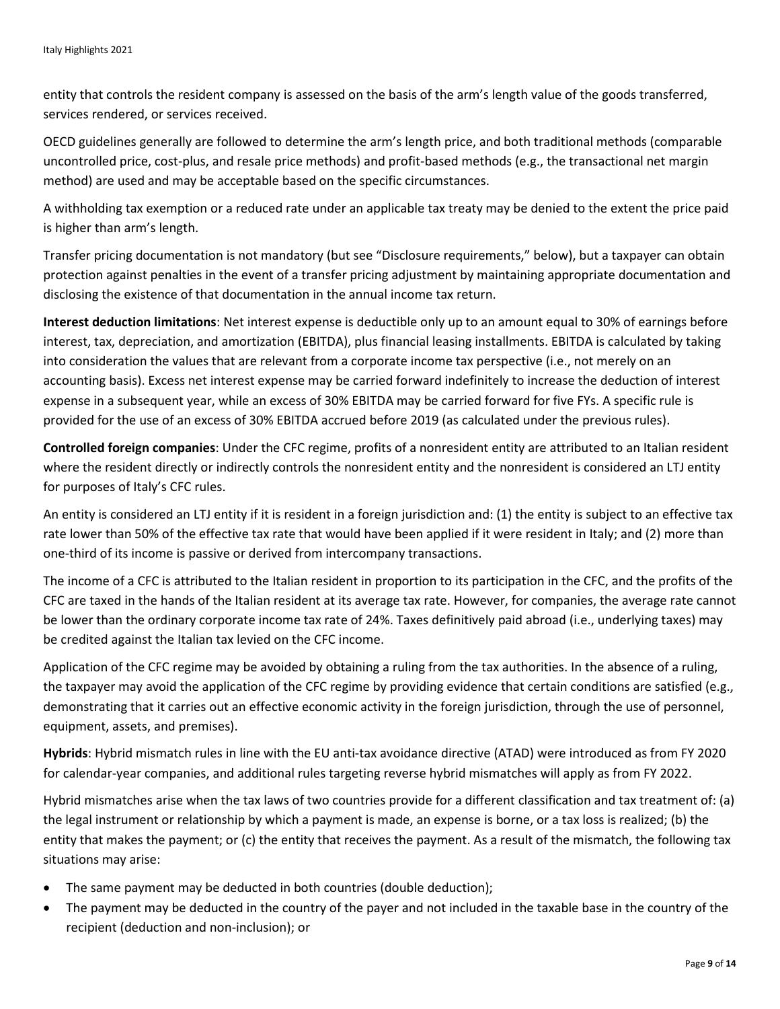entity that controls the resident company is assessed on the basis of the arm's length value of the goods transferred, services rendered, or services received.

OECD guidelines generally are followed to determine the arm's length price, and both traditional methods (comparable uncontrolled price, cost-plus, and resale price methods) and profit-based methods (e.g., the transactional net margin method) are used and may be acceptable based on the specific circumstances.

A withholding tax exemption or a reduced rate under an applicable tax treaty may be denied to the extent the price paid is higher than arm's length.

Transfer pricing documentation is not mandatory (but see "Disclosure requirements," below), but a taxpayer can obtain protection against penalties in the event of a transfer pricing adjustment by maintaining appropriate documentation and disclosing the existence of that documentation in the annual income tax return.

**Interest deduction limitations**: Net interest expense is deductible only up to an amount equal to 30% of earnings before interest, tax, depreciation, and amortization (EBITDA), plus financial leasing installments. EBITDA is calculated by taking into consideration the values that are relevant from a corporate income tax perspective (i.e., not merely on an accounting basis). Excess net interest expense may be carried forward indefinitely to increase the deduction of interest expense in a subsequent year, while an excess of 30% EBITDA may be carried forward for five FYs. A specific rule is provided for the use of an excess of 30% EBITDA accrued before 2019 (as calculated under the previous rules).

**Controlled foreign companies**: Under the CFC regime, profits of a nonresident entity are attributed to an Italian resident where the resident directly or indirectly controls the nonresident entity and the nonresident is considered an LTJ entity for purposes of Italy's CFC rules.

An entity is considered an LTJ entity if it is resident in a foreign jurisdiction and: (1) the entity is subject to an effective tax rate lower than 50% of the effective tax rate that would have been applied if it were resident in Italy; and (2) more than one-third of its income is passive or derived from intercompany transactions.

The income of a CFC is attributed to the Italian resident in proportion to its participation in the CFC, and the profits of the CFC are taxed in the hands of the Italian resident at its average tax rate. However, for companies, the average rate cannot be lower than the ordinary corporate income tax rate of 24%. Taxes definitively paid abroad (i.e., underlying taxes) may be credited against the Italian tax levied on the CFC income.

Application of the CFC regime may be avoided by obtaining a ruling from the tax authorities. In the absence of a ruling, the taxpayer may avoid the application of the CFC regime by providing evidence that certain conditions are satisfied (e.g., demonstrating that it carries out an effective economic activity in the foreign jurisdiction, through the use of personnel, equipment, assets, and premises).

**Hybrids**: Hybrid mismatch rules in line with the EU anti-tax avoidance directive (ATAD) were introduced as from FY 2020 for calendar-year companies, and additional rules targeting reverse hybrid mismatches will apply as from FY 2022.

Hybrid mismatches arise when the tax laws of two countries provide for a different classification and tax treatment of: (a) the legal instrument or relationship by which a payment is made, an expense is borne, or a tax loss is realized; (b) the entity that makes the payment; or (c) the entity that receives the payment. As a result of the mismatch, the following tax situations may arise:

- The same payment may be deducted in both countries (double deduction);
- The payment may be deducted in the country of the payer and not included in the taxable base in the country of the recipient (deduction and non-inclusion); or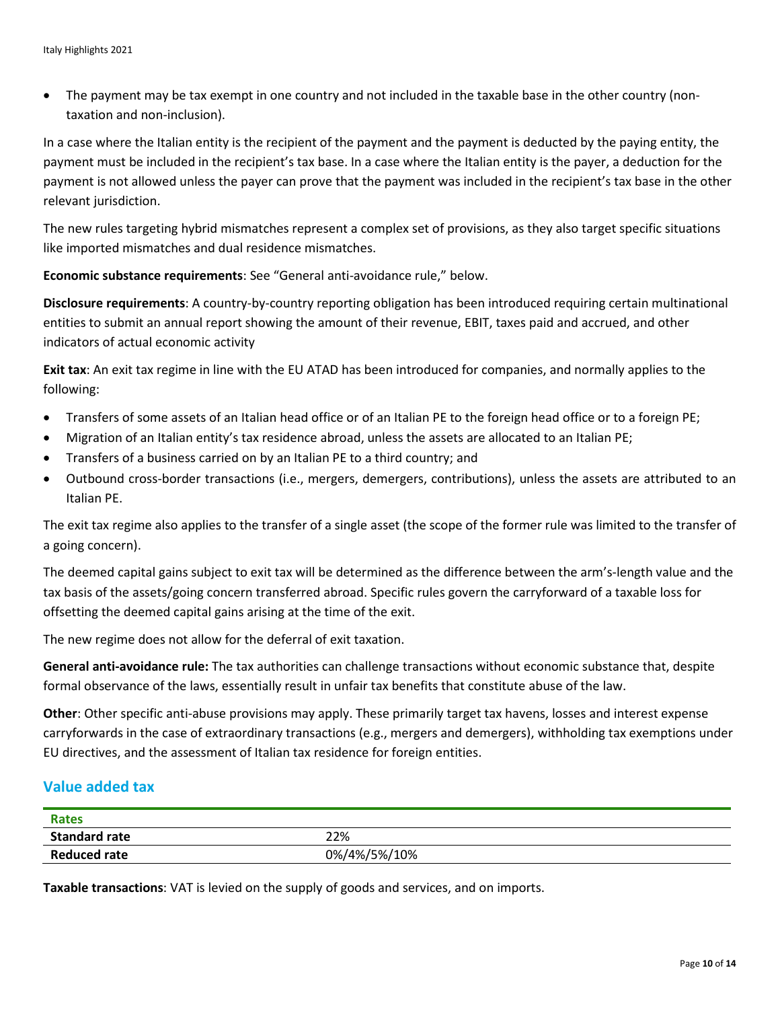• The payment may be tax exempt in one country and not included in the taxable base in the other country (nontaxation and non-inclusion).

In a case where the Italian entity is the recipient of the payment and the payment is deducted by the paying entity, the payment must be included in the recipient's tax base. In a case where the Italian entity is the payer, a deduction for the payment is not allowed unless the payer can prove that the payment was included in the recipient's tax base in the other relevant jurisdiction.

The new rules targeting hybrid mismatches represent a complex set of provisions, as they also target specific situations like imported mismatches and dual residence mismatches.

**Economic substance requirements**: See "General anti-avoidance rule," below.

**Disclosure requirements**: A country-by-country reporting obligation has been introduced requiring certain multinational entities to submit an annual report showing the amount of their revenue, EBIT, taxes paid and accrued, and other indicators of actual economic activity

**Exit tax**: An exit tax regime in line with the EU ATAD has been introduced for companies, and normally applies to the following:

- Transfers of some assets of an Italian head office or of an Italian PE to the foreign head office or to a foreign PE;
- Migration of an Italian entity's tax residence abroad, unless the assets are allocated to an Italian PE;
- Transfers of a business carried on by an Italian PE to a third country; and
- Outbound cross-border transactions (i.e., mergers, demergers, contributions), unless the assets are attributed to an Italian PE.

The exit tax regime also applies to the transfer of a single asset (the scope of the former rule was limited to the transfer of a going concern).

The deemed capital gains subject to exit tax will be determined as the difference between the arm's-length value and the tax basis of the assets/going concern transferred abroad. Specific rules govern the carryforward of a taxable loss for offsetting the deemed capital gains arising at the time of the exit.

The new regime does not allow for the deferral of exit taxation.

**General anti-avoidance rule:** The tax authorities can challenge transactions without economic substance that, despite formal observance of the laws, essentially result in unfair tax benefits that constitute abuse of the law.

**Other**: Other specific anti-abuse provisions may apply. These primarily target tax havens, losses and interest expense carryforwards in the case of extraordinary transactions (e.g., mergers and demergers), withholding tax exemptions under EU directives, and the assessment of Italian tax residence for foreign entities.

## **Value added tax**

| <b>Rates</b>         |              |
|----------------------|--------------|
| <b>Standard rate</b> | 22%          |
| <b>Reduced rate</b>  | 0%/4%/5%/10% |

**Taxable transactions**: VAT is levied on the supply of goods and services, and on imports.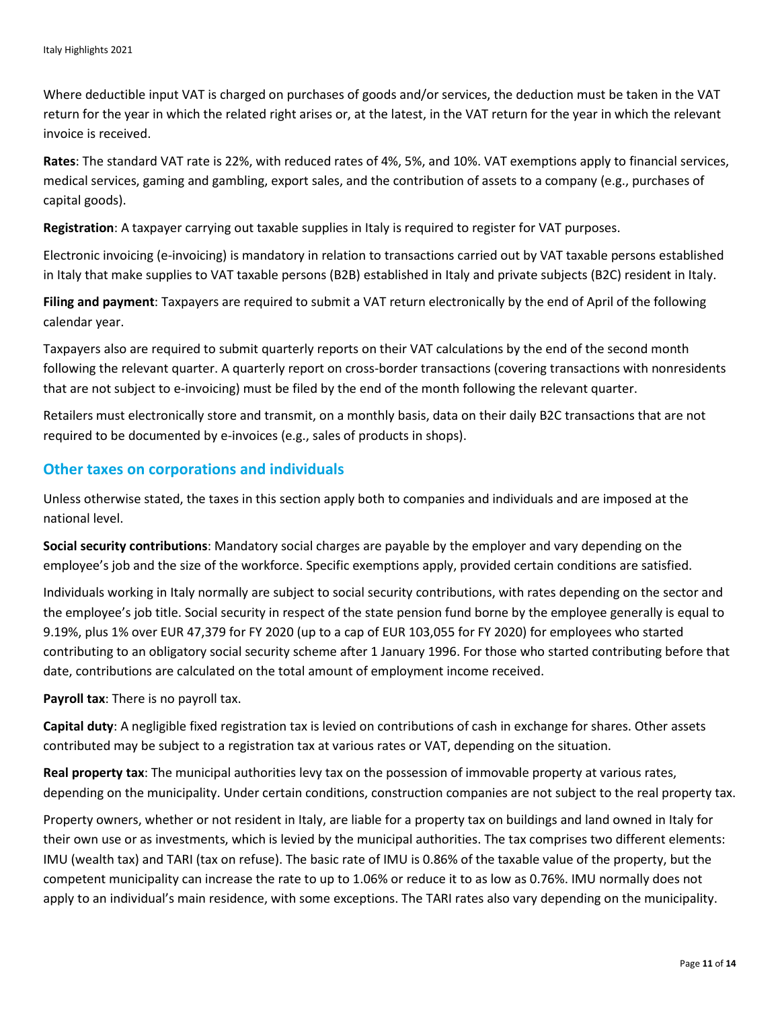Where deductible input VAT is charged on purchases of goods and/or services, the deduction must be taken in the VAT return for the year in which the related right arises or, at the latest, in the VAT return for the year in which the relevant invoice is received.

**Rates**: The standard VAT rate is 22%, with reduced rates of 4%, 5%, and 10%. VAT exemptions apply to financial services, medical services, gaming and gambling, export sales, and the contribution of assets to a company (e.g., purchases of capital goods).

**Registration**: A taxpayer carrying out taxable supplies in Italy is required to register for VAT purposes.

Electronic invoicing (e-invoicing) is mandatory in relation to transactions carried out by VAT taxable persons established in Italy that make supplies to VAT taxable persons (B2B) established in Italy and private subjects (B2C) resident in Italy.

**Filing and payment**: Taxpayers are required to submit a VAT return electronically by the end of April of the following calendar year.

Taxpayers also are required to submit quarterly reports on their VAT calculations by the end of the second month following the relevant quarter. A quarterly report on cross-border transactions (covering transactions with nonresidents that are not subject to e-invoicing) must be filed by the end of the month following the relevant quarter.

Retailers must electronically store and transmit, on a monthly basis, data on their daily B2C transactions that are not required to be documented by e-invoices (e.g., sales of products in shops).

#### **Other taxes on corporations and individuals**

Unless otherwise stated, the taxes in this section apply both to companies and individuals and are imposed at the national level.

**Social security contributions**: Mandatory social charges are payable by the employer and vary depending on the employee's job and the size of the workforce. Specific exemptions apply, provided certain conditions are satisfied.

Individuals working in Italy normally are subject to social security contributions, with rates depending on the sector and the employee's job title. Social security in respect of the state pension fund borne by the employee generally is equal to 9.19%, plus 1% over EUR 47,379 for FY 2020 (up to a cap of EUR 103,055 for FY 2020) for employees who started contributing to an obligatory social security scheme after 1 January 1996. For those who started contributing before that date, contributions are calculated on the total amount of employment income received.

**Payroll tax**: There is no payroll tax.

**Capital duty**: A negligible fixed registration tax is levied on contributions of cash in exchange for shares. Other assets contributed may be subject to a registration tax at various rates or VAT, depending on the situation.

**Real property tax**: The municipal authorities levy tax on the possession of immovable property at various rates, depending on the municipality. Under certain conditions, construction companies are not subject to the real property tax.

Property owners, whether or not resident in Italy, are liable for a property tax on buildings and land owned in Italy for their own use or as investments, which is levied by the municipal authorities. The tax comprises two different elements: IMU (wealth tax) and TARI (tax on refuse). The basic rate of IMU is 0.86% of the taxable value of the property, but the competent municipality can increase the rate to up to 1.06% or reduce it to as low as 0.76%. IMU normally does not apply to an individual's main residence, with some exceptions. The TARI rates also vary depending on the municipality.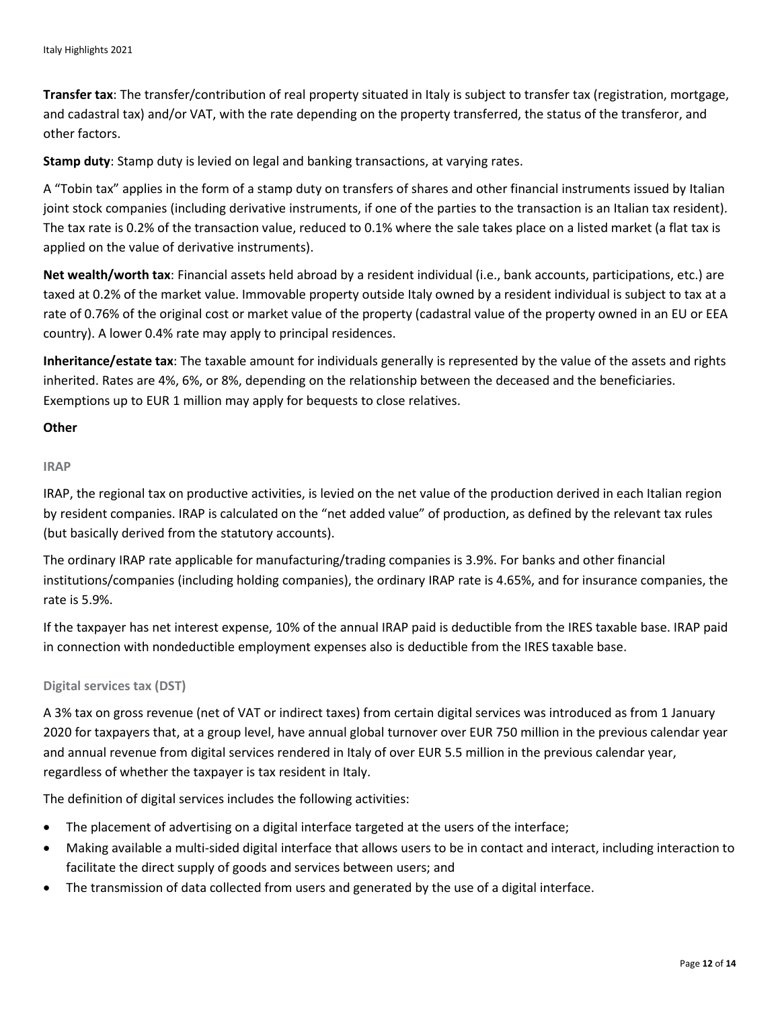**Transfer tax**: The transfer/contribution of real property situated in Italy is subject to transfer tax (registration, mortgage, and cadastral tax) and/or VAT, with the rate depending on the property transferred, the status of the transferor, and other factors.

**Stamp duty**: Stamp duty is levied on legal and banking transactions, at varying rates.

A "Tobin tax" applies in the form of a stamp duty on transfers of shares and other financial instruments issued by Italian joint stock companies (including derivative instruments, if one of the parties to the transaction is an Italian tax resident). The tax rate is 0.2% of the transaction value, reduced to 0.1% where the sale takes place on a listed market (a flat tax is applied on the value of derivative instruments).

**Net wealth/worth tax**: Financial assets held abroad by a resident individual (i.e., bank accounts, participations, etc.) are taxed at 0.2% of the market value. Immovable property outside Italy owned by a resident individual is subject to tax at a rate of 0.76% of the original cost or market value of the property (cadastral value of the property owned in an EU or EEA country). A lower 0.4% rate may apply to principal residences.

**Inheritance/estate tax**: The taxable amount for individuals generally is represented by the value of the assets and rights inherited. Rates are 4%, 6%, or 8%, depending on the relationship between the deceased and the beneficiaries. Exemptions up to EUR 1 million may apply for bequests to close relatives.

#### **Other**

#### **IRAP**

IRAP, the regional tax on productive activities, is levied on the net value of the production derived in each Italian region by resident companies. IRAP is calculated on the "net added value" of production, as defined by the relevant tax rules (but basically derived from the statutory accounts).

The ordinary IRAP rate applicable for manufacturing/trading companies is 3.9%. For banks and other financial institutions/companies (including holding companies), the ordinary IRAP rate is 4.65%, and for insurance companies, the rate is 5.9%.

If the taxpayer has net interest expense, 10% of the annual IRAP paid is deductible from the IRES taxable base. IRAP paid in connection with nondeductible employment expenses also is deductible from the IRES taxable base.

#### **Digital services tax (DST)**

A 3% tax on gross revenue (net of VAT or indirect taxes) from certain digital services was introduced as from 1 January 2020 for taxpayers that, at a group level, have annual global turnover over EUR 750 million in the previous calendar year and annual revenue from digital services rendered in Italy of over EUR 5.5 million in the previous calendar year, regardless of whether the taxpayer is tax resident in Italy.

The definition of digital services includes the following activities:

- The placement of advertising on a digital interface targeted at the users of the interface;
- Making available a multi-sided digital interface that allows users to be in contact and interact, including interaction to facilitate the direct supply of goods and services between users; and
- The transmission of data collected from users and generated by the use of a digital interface.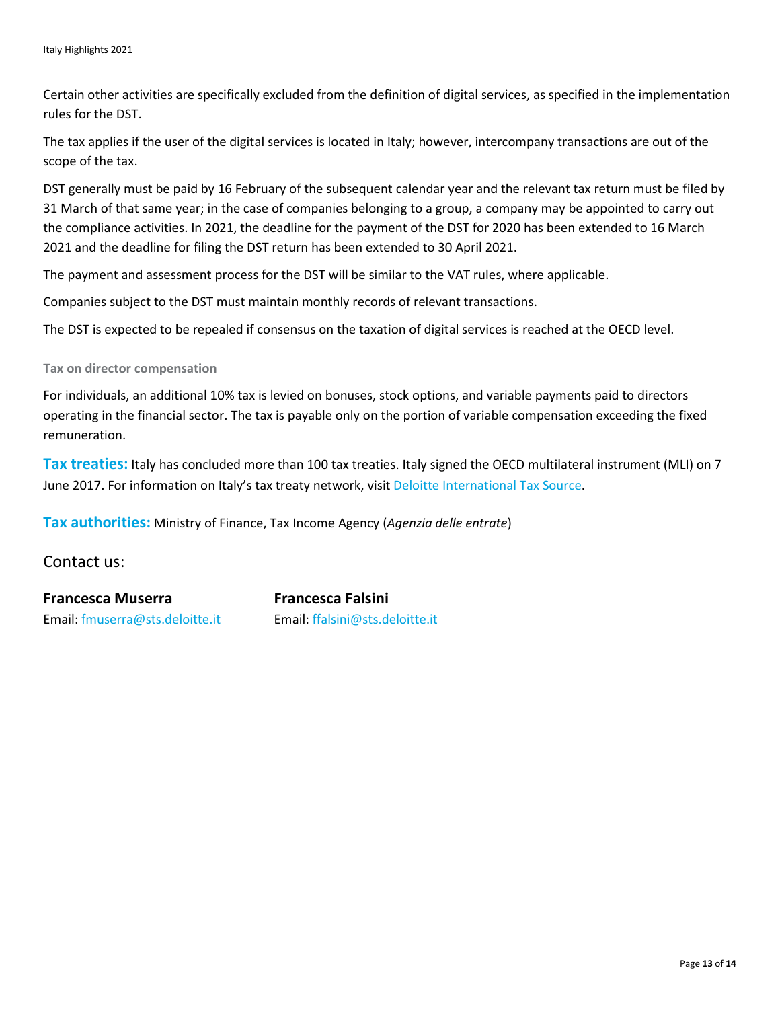Certain other activities are specifically excluded from the definition of digital services, as specified in the implementation rules for the DST.

The tax applies if the user of the digital services is located in Italy; however, intercompany transactions are out of the scope of the tax.

DST generally must be paid by 16 February of the subsequent calendar year and the relevant tax return must be filed by 31 March of that same year; in the case of companies belonging to a group, a company may be appointed to carry out the compliance activities. In 2021, the deadline for the payment of the DST for 2020 has been extended to 16 March 2021 and the deadline for filing the DST return has been extended to 30 April 2021.

The payment and assessment process for the DST will be similar to the VAT rules, where applicable.

Companies subject to the DST must maintain monthly records of relevant transactions.

The DST is expected to be repealed if consensus on the taxation of digital services is reached at the OECD level.

#### **Tax on director compensation**

For individuals, an additional 10% tax is levied on bonuses, stock options, and variable payments paid to directors operating in the financial sector. The tax is payable only on the portion of variable compensation exceeding the fixed remuneration.

**Tax treaties:** Italy has concluded more than 100 tax treaties. Italy signed the OECD multilateral instrument (MLI) on 7 June 2017. For information on Italy's tax treaty network, visit [Deloitte International Tax Source.](https://www.dits.deloitte.com/#Jurisdiction/32)

**Tax authorities:** Ministry of Finance, Tax Income Agency (*Agenzia delle entrate*)

Contact us:

**Francesca Muserra Francesca Falsini** Email: [fmuserra@sts.deloitte.it](mailto:fmuserra@sts.deloitte.it) Email: [ffalsini@sts.deloitte.it](mailto:ffalsini@sts.deloitte.it)